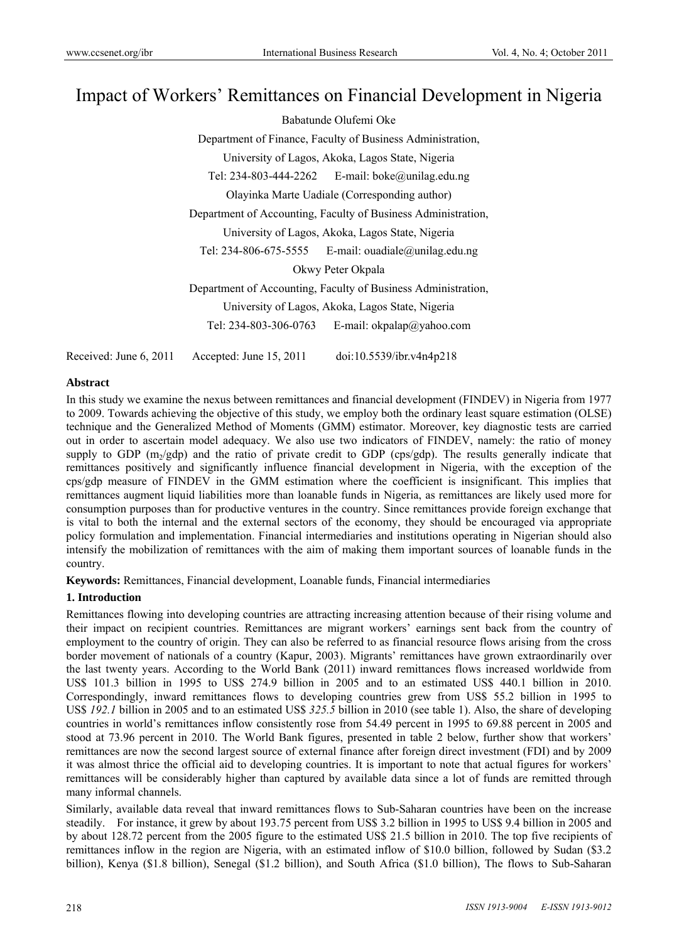# Impact of Workers' Remittances on Financial Development in Nigeria

Babatunde Olufemi Oke Department of Finance, Faculty of Business Administration, University of Lagos, Akoka, Lagos State, Nigeria Tel: 234-803-444-2262 E-mail: boke@unilag.edu.ng Olayinka Marte Uadiale (Corresponding author) Department of Accounting, Faculty of Business Administration, University of Lagos, Akoka, Lagos State, Nigeria Tel: 234-806-675-5555 E-mail: ouadiale@unilag.edu.ng Okwy Peter Okpala Department of Accounting, Faculty of Business Administration, University of Lagos, Akoka, Lagos State, Nigeria Tel: 234-803-306-0763 E-mail: okpalap@yahoo.com Received: June 6, 2011 Accepted: June 15, 2011 doi:10.5539/ibr.v4n4p218

## **Abstract**

In this study we examine the nexus between remittances and financial development (FINDEV) in Nigeria from 1977 to 2009. Towards achieving the objective of this study, we employ both the ordinary least square estimation (OLSE) technique and the Generalized Method of Moments (GMM) estimator. Moreover, key diagnostic tests are carried out in order to ascertain model adequacy. We also use two indicators of FINDEV, namely: the ratio of money supply to GDP  $(m_2/gdp)$  and the ratio of private credit to GDP (cps/gdp). The results generally indicate that remittances positively and significantly influence financial development in Nigeria, with the exception of the cps/gdp measure of FINDEV in the GMM estimation where the coefficient is insignificant. This implies that remittances augment liquid liabilities more than loanable funds in Nigeria, as remittances are likely used more for consumption purposes than for productive ventures in the country. Since remittances provide foreign exchange that is vital to both the internal and the external sectors of the economy, they should be encouraged via appropriate policy formulation and implementation. Financial intermediaries and institutions operating in Nigerian should also intensify the mobilization of remittances with the aim of making them important sources of loanable funds in the country.

**Keywords:** Remittances, Financial development, Loanable funds, Financial intermediaries

# **1. Introduction**

Remittances flowing into developing countries are attracting increasing attention because of their rising volume and their impact on recipient countries. Remittances are migrant workers' earnings sent back from the country of employment to the country of origin. They can also be referred to as financial resource flows arising from the cross border movement of nationals of a country (Kapur, 2003). Migrants' remittances have grown extraordinarily over the last twenty years. According to the World Bank (2011) inward remittances flows increased worldwide from US\$ 101.3 billion in 1995 to US\$ 274.9 billion in 2005 and to an estimated US\$ 440.1 billion in 2010. Correspondingly, inward remittances flows to developing countries grew from US\$ 55.2 billion in 1995 to US\$ *192.1* billion in 2005 and to an estimated US\$ *325.5* billion in 2010 (see table 1). Also, the share of developing countries in world's remittances inflow consistently rose from 54.49 percent in 1995 to 69.88 percent in 2005 and stood at 73.96 percent in 2010. The World Bank figures, presented in table 2 below, further show that workers' remittances are now the second largest source of external finance after foreign direct investment (FDI) and by 2009 it was almost thrice the official aid to developing countries. It is important to note that actual figures for workers' remittances will be considerably higher than captured by available data since a lot of funds are remitted through many informal channels.

Similarly, available data reveal that inward remittances flows to Sub-Saharan countries have been on the increase steadily. For instance, it grew by about 193.75 percent from US\$ 3.2 billion in 1995 to US\$ 9.4 billion in 2005 and by about 128.72 percent from the 2005 figure to the estimated US\$ 21.5 billion in 2010. The top five recipients of remittances inflow in the region are Nigeria, with an estimated inflow of \$10.0 billion, followed by Sudan (\$3.2 billion), Kenya (\$1.8 billion), Senegal (\$1.2 billion), and South Africa (\$1.0 billion), The flows to Sub-Saharan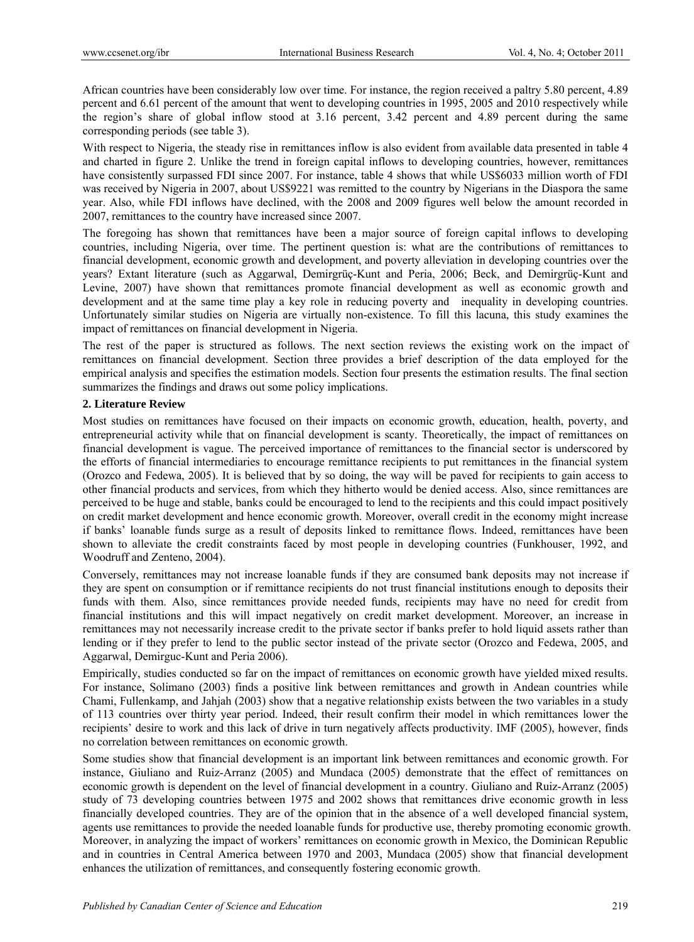African countries have been considerably low over time. For instance, the region received a paltry 5.80 percent, 4.89 percent and 6.61 percent of the amount that went to developing countries in 1995, 2005 and 2010 respectively while the region's share of global inflow stood at 3.16 percent, 3.42 percent and 4.89 percent during the same corresponding periods (see table 3).

With respect to Nigeria, the steady rise in remittances inflow is also evident from available data presented in table 4 and charted in figure 2. Unlike the trend in foreign capital inflows to developing countries, however, remittances have consistently surpassed FDI since 2007. For instance, table 4 shows that while US\$6033 million worth of FDI was received by Nigeria in 2007, about US\$9221 was remitted to the country by Nigerians in the Diaspora the same year. Also, while FDI inflows have declined, with the 2008 and 2009 figures well below the amount recorded in 2007, remittances to the country have increased since 2007.

The foregoing has shown that remittances have been a major source of foreign capital inflows to developing countries, including Nigeria, over time. The pertinent question is: what are the contributions of remittances to financial development, economic growth and development, and poverty alleviation in developing countries over the years? Extant literature (such as Aggarwal, Demirgrüç-Kunt and Peria, 2006; Beck, and Demirgrüç-Kunt and Levine, 2007) have shown that remittances promote financial development as well as economic growth and development and at the same time play a key role in reducing poverty and inequality in developing countries. Unfortunately similar studies on Nigeria are virtually non-existence. To fill this lacuna, this study examines the impact of remittances on financial development in Nigeria.

The rest of the paper is structured as follows. The next section reviews the existing work on the impact of remittances on financial development. Section three provides a brief description of the data employed for the empirical analysis and specifies the estimation models. Section four presents the estimation results. The final section summarizes the findings and draws out some policy implications.

### **2. Literature Review**

Most studies on remittances have focused on their impacts on economic growth, education, health, poverty, and entrepreneurial activity while that on financial development is scanty. Theoretically, the impact of remittances on financial development is vague. The perceived importance of remittances to the financial sector is underscored by the efforts of financial intermediaries to encourage remittance recipients to put remittances in the financial system (Orozco and Fedewa, 2005). It is believed that by so doing, the way will be paved for recipients to gain access to other financial products and services, from which they hitherto would be denied access. Also, since remittances are perceived to be huge and stable, banks could be encouraged to lend to the recipients and this could impact positively on credit market development and hence economic growth. Moreover, overall credit in the economy might increase if banks' loanable funds surge as a result of deposits linked to remittance flows. Indeed, remittances have been shown to alleviate the credit constraints faced by most people in developing countries (Funkhouser, 1992, and Woodruff and Zenteno, 2004).

Conversely, remittances may not increase loanable funds if they are consumed bank deposits may not increase if they are spent on consumption or if remittance recipients do not trust financial institutions enough to deposits their funds with them. Also, since remittances provide needed funds, recipients may have no need for credit from financial institutions and this will impact negatively on credit market development. Moreover, an increase in remittances may not necessarily increase credit to the private sector if banks prefer to hold liquid assets rather than lending or if they prefer to lend to the public sector instead of the private sector (Orozco and Fedewa, 2005, and Aggarwal, Demirguc-Kunt and Peria 2006).

Empirically, studies conducted so far on the impact of remittances on economic growth have yielded mixed results. For instance, Solimano (2003) finds a positive link between remittances and growth in Andean countries while Chami, Fullenkamp, and Jahjah (2003) show that a negative relationship exists between the two variables in a study of 113 countries over thirty year period. Indeed, their result confirm their model in which remittances lower the recipients' desire to work and this lack of drive in turn negatively affects productivity. IMF (2005), however, finds no correlation between remittances on economic growth.

Some studies show that financial development is an important link between remittances and economic growth. For instance, Giuliano and Ruiz-Arranz (2005) and Mundaca (2005) demonstrate that the effect of remittances on economic growth is dependent on the level of financial development in a country. Giuliano and Ruiz-Arranz (2005) study of 73 developing countries between 1975 and 2002 shows that remittances drive economic growth in less financially developed countries. They are of the opinion that in the absence of a well developed financial system, agents use remittances to provide the needed loanable funds for productive use, thereby promoting economic growth. Moreover, in analyzing the impact of workers' remittances on economic growth in Mexico, the Dominican Republic and in countries in Central America between 1970 and 2003, Mundaca (2005) show that financial development enhances the utilization of remittances, and consequently fostering economic growth.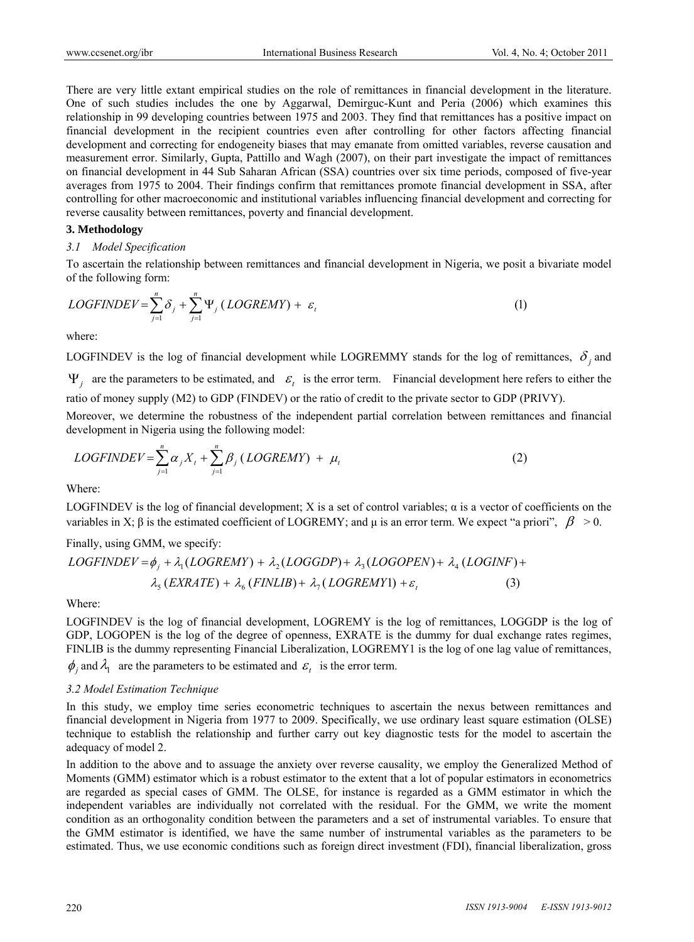There are very little extant empirical studies on the role of remittances in financial development in the literature. One of such studies includes the one by Aggarwal, Demirguc-Kunt and Peria (2006) which examines this relationship in 99 developing countries between 1975 and 2003. They find that remittances has a positive impact on financial development in the recipient countries even after controlling for other factors affecting financial development and correcting for endogeneity biases that may emanate from omitted variables, reverse causation and measurement error. Similarly, Gupta, Pattillo and Wagh (2007), on their part investigate the impact of remittances on financial development in 44 Sub Saharan African (SSA) countries over six time periods, composed of five-year averages from 1975 to 2004. Their findings confirm that remittances promote financial development in SSA, after controlling for other macroeconomic and institutional variables influencing financial development and correcting for reverse causality between remittances, poverty and financial development.

#### **3. Methodology**

#### *3.1 Model Specification*

To ascertain the relationship between remittances and financial development in Nigeria, we posit a bivariate model of the following form:

$$
LOGFINDER = \sum_{j=1}^{n} \delta_j + \sum_{j=1}^{n} \Psi_j (LOGREMY) + \varepsilon_t
$$
 (1)

where:

LOGFINDEV is the log of financial development while LOGREMMY stands for the log of remittances,  $\delta_i$  and  $\Psi_i$  are the parameters to be estimated, and  $\varepsilon_i$  is the error term. Financial development here refers to either the ratio of money supply (M2) to GDP (FINDEV) or the ratio of credit to the private sector to GDP (PRIVY).

Moreover, we determine the robustness of the independent partial correlation between remittances and financial development in Nigeria using the following model:

$$
LOGFINDER = \sum_{j=1}^{n} \alpha_j X_t + \sum_{j=1}^{n} \beta_j (LOGREMY) + \mu_t
$$
 (2)

Where:

LOGFINDEV is the log of financial development; X is a set of control variables; α is a vector of coefficients on the variables in X;  $\beta$  is the estimated coefficient of LOGREMY; and  $\mu$  is an error term. We expect "a priori",  $\beta > 0$ .

Finally, using GMM, we specify:

$$
LOGFINDER = \phi_j + \lambda_1 (LOGREMY) + \lambda_2 (LOGGDP) + \lambda_3 (LOGOPEN) + \lambda_4 (LOGINF) + \lambda_5 (EXRATE) + \lambda_6 (FINLIB) + \lambda_7 (LOGREMY1) + \varepsilon_t
$$
\n(3)

Where:

LOGFINDEV is the log of financial development, LOGREMY is the log of remittances, LOGGDP is the log of GDP, LOGOPEN is the log of the degree of openness, EXRATE is the dummy for dual exchange rates regimes, FINLIB is the dummy representing Financial Liberalization, LOGREMY1 is the log of one lag value of remittances,  $\phi_i$  and  $\lambda_1$  are the parameters to be estimated and  $\varepsilon_i$  is the error term.

### *3.2 Model Estimation Technique*

In this study, we employ time series econometric techniques to ascertain the nexus between remittances and financial development in Nigeria from 1977 to 2009. Specifically, we use ordinary least square estimation (OLSE) technique to establish the relationship and further carry out key diagnostic tests for the model to ascertain the adequacy of model 2.

In addition to the above and to assuage the anxiety over reverse causality, we employ the Generalized Method of Moments (GMM) estimator which is a robust estimator to the extent that a lot of popular estimators in econometrics are regarded as special cases of GMM. The OLSE, for instance is regarded as a GMM estimator in which the independent variables are individually not correlated with the residual. For the GMM, we write the moment condition as an orthogonality condition between the parameters and a set of instrumental variables. To ensure that the GMM estimator is identified, we have the same number of instrumental variables as the parameters to be estimated. Thus, we use economic conditions such as foreign direct investment (FDI), financial liberalization, gross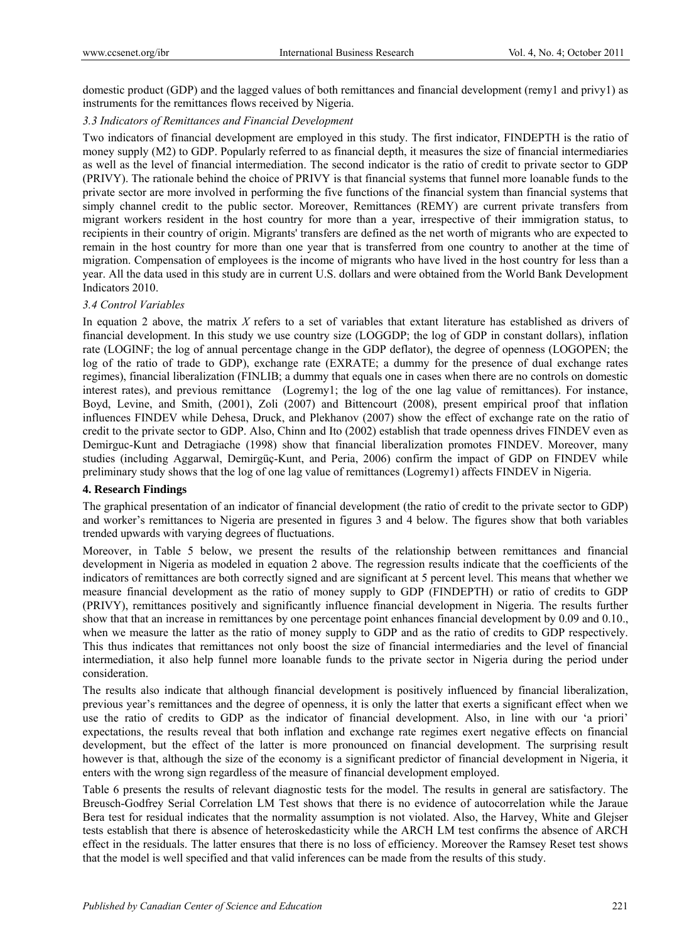domestic product (GDP) and the lagged values of both remittances and financial development (remy1 and privy1) as instruments for the remittances flows received by Nigeria.

## *3.3 Indicators of Remittances and Financial Development*

Two indicators of financial development are employed in this study. The first indicator, FINDEPTH is the ratio of money supply (M2) to GDP. Popularly referred to as financial depth, it measures the size of financial intermediaries as well as the level of financial intermediation. The second indicator is the ratio of credit to private sector to GDP (PRIVY). The rationale behind the choice of PRIVY is that financial systems that funnel more loanable funds to the private sector are more involved in performing the five functions of the financial system than financial systems that simply channel credit to the public sector. Moreover, Remittances (REMY) are current private transfers from migrant workers resident in the host country for more than a year, irrespective of their immigration status, to recipients in their country of origin. Migrants' transfers are defined as the net worth of migrants who are expected to remain in the host country for more than one year that is transferred from one country to another at the time of migration. Compensation of employees is the income of migrants who have lived in the host country for less than a year. All the data used in this study are in current U.S. dollars and were obtained from the World Bank Development Indicators 2010.

## *3.4 Control Variables*

In equation 2 above, the matrix *X* refers to a set of variables that extant literature has established as drivers of financial development. In this study we use country size (LOGGDP; the log of GDP in constant dollars), inflation rate (LOGINF; the log of annual percentage change in the GDP deflator), the degree of openness (LOGOPEN; the log of the ratio of trade to GDP), exchange rate (EXRATE; a dummy for the presence of dual exchange rates regimes), financial liberalization (FINLIB; a dummy that equals one in cases when there are no controls on domestic interest rates), and previous remittance (Logremy1; the log of the one lag value of remittances). For instance, Boyd, Levine, and Smith, (2001), Zoli (2007) and Bittencourt (2008), present empirical proof that inflation influences FINDEV while Dehesa, Druck, and Plekhanov (2007) show the effect of exchange rate on the ratio of credit to the private sector to GDP. Also, Chinn and Ito (2002) establish that trade openness drives FINDEV even as Demirguc-Kunt and Detragiache (1998) show that financial liberalization promotes FINDEV. Moreover, many studies (including Aggarwal, Demirgüç-Kunt, and Peria, 2006) confirm the impact of GDP on FINDEV while preliminary study shows that the log of one lag value of remittances (Logremy1) affects FINDEV in Nigeria.

### **4. Research Findings**

The graphical presentation of an indicator of financial development (the ratio of credit to the private sector to GDP) and worker's remittances to Nigeria are presented in figures 3 and 4 below. The figures show that both variables trended upwards with varying degrees of fluctuations.

Moreover, in Table 5 below, we present the results of the relationship between remittances and financial development in Nigeria as modeled in equation 2 above. The regression results indicate that the coefficients of the indicators of remittances are both correctly signed and are significant at 5 percent level. This means that whether we measure financial development as the ratio of money supply to GDP (FINDEPTH) or ratio of credits to GDP (PRIVY), remittances positively and significantly influence financial development in Nigeria. The results further show that that an increase in remittances by one percentage point enhances financial development by 0.09 and 0.10., when we measure the latter as the ratio of money supply to GDP and as the ratio of credits to GDP respectively. This thus indicates that remittances not only boost the size of financial intermediaries and the level of financial intermediation, it also help funnel more loanable funds to the private sector in Nigeria during the period under consideration.

The results also indicate that although financial development is positively influenced by financial liberalization, previous year's remittances and the degree of openness, it is only the latter that exerts a significant effect when we use the ratio of credits to GDP as the indicator of financial development. Also, in line with our 'a priori' expectations, the results reveal that both inflation and exchange rate regimes exert negative effects on financial development, but the effect of the latter is more pronounced on financial development. The surprising result however is that, although the size of the economy is a significant predictor of financial development in Nigeria, it enters with the wrong sign regardless of the measure of financial development employed.

Table 6 presents the results of relevant diagnostic tests for the model. The results in general are satisfactory. The Breusch-Godfrey Serial Correlation LM Test shows that there is no evidence of autocorrelation while the Jaraue Bera test for residual indicates that the normality assumption is not violated. Also, the Harvey, White and Glejser tests establish that there is absence of heteroskedasticity while the ARCH LM test confirms the absence of ARCH effect in the residuals. The latter ensures that there is no loss of efficiency. Moreover the Ramsey Reset test shows that the model is well specified and that valid inferences can be made from the results of this study.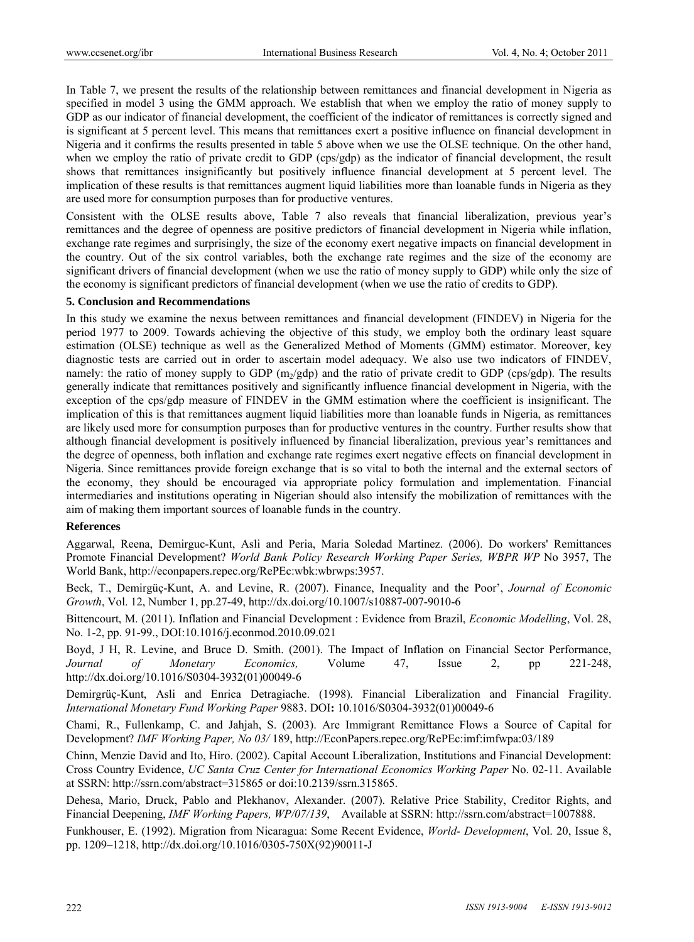In Table 7, we present the results of the relationship between remittances and financial development in Nigeria as specified in model 3 using the GMM approach. We establish that when we employ the ratio of money supply to GDP as our indicator of financial development, the coefficient of the indicator of remittances is correctly signed and is significant at 5 percent level. This means that remittances exert a positive influence on financial development in Nigeria and it confirms the results presented in table 5 above when we use the OLSE technique. On the other hand, when we employ the ratio of private credit to GDP (cps/gdp) as the indicator of financial development, the result shows that remittances insignificantly but positively influence financial development at 5 percent level. The implication of these results is that remittances augment liquid liabilities more than loanable funds in Nigeria as they are used more for consumption purposes than for productive ventures.

Consistent with the OLSE results above, Table 7 also reveals that financial liberalization, previous year's remittances and the degree of openness are positive predictors of financial development in Nigeria while inflation, exchange rate regimes and surprisingly, the size of the economy exert negative impacts on financial development in the country. Out of the six control variables, both the exchange rate regimes and the size of the economy are significant drivers of financial development (when we use the ratio of money supply to GDP) while only the size of the economy is significant predictors of financial development (when we use the ratio of credits to GDP).

#### **5. Conclusion and Recommendations**

In this study we examine the nexus between remittances and financial development (FINDEV) in Nigeria for the period 1977 to 2009. Towards achieving the objective of this study, we employ both the ordinary least square estimation (OLSE) technique as well as the Generalized Method of Moments (GMM) estimator. Moreover, key diagnostic tests are carried out in order to ascertain model adequacy. We also use two indicators of FINDEV, namely: the ratio of money supply to GDP  $(m_2/qdp)$  and the ratio of private credit to GDP (cps/gdp). The results generally indicate that remittances positively and significantly influence financial development in Nigeria, with the exception of the cps/gdp measure of FINDEV in the GMM estimation where the coefficient is insignificant. The implication of this is that remittances augment liquid liabilities more than loanable funds in Nigeria, as remittances are likely used more for consumption purposes than for productive ventures in the country. Further results show that although financial development is positively influenced by financial liberalization, previous year's remittances and the degree of openness, both inflation and exchange rate regimes exert negative effects on financial development in Nigeria. Since remittances provide foreign exchange that is so vital to both the internal and the external sectors of the economy, they should be encouraged via appropriate policy formulation and implementation. Financial intermediaries and institutions operating in Nigerian should also intensify the mobilization of remittances with the aim of making them important sources of loanable funds in the country.

#### **References**

Aggarwal, Reena, Demirguc-Kunt, Asli and Peria, Maria Soledad Martinez. (2006). Do workers' Remittances Promote Financial Development? *World Bank Policy Research Working Paper Series, WBPR WP* No 3957, The World Bank, http://econpapers.repec.org/RePEc:wbk:wbrwps:3957.

Beck, T., Demirgüç-Kunt, A. and Levine, R. (2007). Finance, Inequality and the Poor', *Journal of Economic Growth*, Vol. 12, Number 1, pp.27-49, http://dx.doi.org/10.1007/s10887-007-9010-6

Bittencourt, M. (2011). Inflation and Financial Development : Evidence from Brazil, *Economic Modelling*, Vol. 28, No. 1-2, pp. 91-99., DOI:10.1016/j.econmod.2010.09.021

Boyd, J H, R. Levine, and Bruce D. Smith. (2001). The Impact of Inflation on Financial Sector Performance, *Journal of Monetary Economics,* Volume 47, Issue 2, pp 221-248, http://dx.doi.org/10.1016/S0304-3932(01)00049-6

Demirgrüç-Kunt, Asli and Enrica Detragiache. (1998). Financial Liberalization and Financial Fragility. *International Monetary Fund Working Paper* 9883. DOI**:** 10.1016/S0304-3932(01)00049-6

Chami, R., Fullenkamp, C. and Jahjah, S. (2003). Are Immigrant Remittance Flows a Source of Capital for Development? *IMF Working Paper, No 03/* 189, http://EconPapers.repec.org/RePEc:imf:imfwpa:03/189

Chinn, Menzie David and Ito, Hiro. (2002). Capital Account Liberalization, Institutions and Financial Development: Cross Country Evidence, *UC Santa Cruz Center for International Economics Working Paper* No. 02-11. Available at SSRN: http://ssrn.com/abstract=315865 or doi:10.2139/ssrn.315865.

Dehesa, Mario, Druck, Pablo and Plekhanov, Alexander. (2007). Relative Price Stability, Creditor Rights, and Financial Deepening, *IMF Working Papers, WP/07/139*,Available at SSRN: http://ssrn.com/abstract=1007888.

Funkhouser, E. (1992). Migration from Nicaragua: Some Recent Evidence, *World- Development*, Vol. 20, Issue 8, pp. 1209–1218, http://dx.doi.org/10.1016/0305-750X(92)90011-J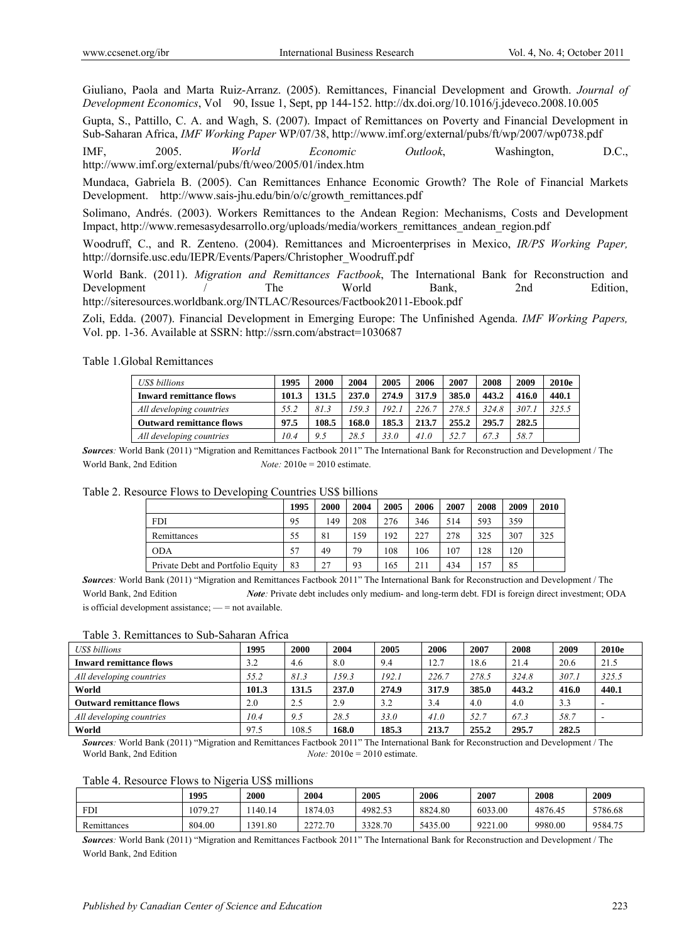Giuliano, Paola and Marta Ruiz-Arranz. (2005). Remittances, Financial Development and Growth. *Journal of Development Economics*, Vol 90, Issue 1, Sept, pp 144-152. http://dx.doi.org/10.1016/j.jdeveco.2008.10.005

Gupta, S., Pattillo, C. A. and Wagh, S. (2007). Impact of Remittances on Poverty and Financial Development in Sub-Saharan Africa, *IMF Working Paper* WP/07/38, http://www.imf.org/external/pubs/ft/wp/2007/wp0738.pdf

IMF, 2005. *World Economic Outlook*, Washington, D.C., http://www.imf.org/external/pubs/ft/weo/2005/01/index.htm

Mundaca, Gabriela B. (2005). Can Remittances Enhance Economic Growth? The Role of Financial Markets Development. http://www.sais-ihu.edu/bin/o/c/growth\_remittances.pdf

Solimano, Andrés. (2003). Workers Remittances to the Andean Region: Mechanisms, Costs and Development Impact, http://www.remesasydesarrollo.org/uploads/media/workers\_remittances\_andean\_region.pdf

Woodruff, C., and R. Zenteno. (2004). Remittances and Microenterprises in Mexico, *IR/PS Working Paper,*  http://dornsife.usc.edu/IEPR/Events/Papers/Christopher\_Woodruff.pdf

World Bank. (2011). *Migration and Remittances Factbook*, The International Bank for Reconstruction and Development / The World Bank, 2nd Edition, http://siteresources.worldbank.org/INTLAC/Resources/Factbook2011-Ebook.pdf

Zoli, Edda. (2007). Financial Development in Emerging Europe: The Unfinished Agenda. *IMF Working Papers,* Vol. pp. 1-36. Available at SSRN: http://ssrn.com/abstract=1030687

Table 1.Global Remittances

| <b>USS</b> billions             | 1995  | 2000  | 2004  | 2005  | 2006  | 2007  | 2008  | 2009  | 2010e |
|---------------------------------|-------|-------|-------|-------|-------|-------|-------|-------|-------|
| <b>Inward remittance flows</b>  | 101.3 | 131.5 | 237.0 | 274.9 | 317.9 | 385.0 | 443.2 | 416.0 | 440.1 |
| All developing countries        | 55.2  | 81.3  | 159.3 | 192.1 | 226.7 | 278.5 | 324.8 | 307.1 | 325.5 |
| <b>Outward remittance flows</b> | 97.5  | 108.5 | 168.0 | 185.3 | 213.7 | 255.2 | 295.7 | 282.5 |       |
| All developing countries        | 10.4  | 9.5   | 28.5  | 33.0  | 41.0  | 52.7  | 67.3  | 58.7  |       |

*Sources:* World Bank (2011) "Migration and Remittances Factbook 2011" The International Bank for Reconstruction and Development / The World Bank, 2nd Edition *Note:* 2010e = 2010 estimate.

|  |  | Table 2. Resource Flows to Developing Countries US\$ billions |
|--|--|---------------------------------------------------------------|
|  |  |                                                               |

| ~                                 |      |      |      |      |      |      |      |      |      |
|-----------------------------------|------|------|------|------|------|------|------|------|------|
|                                   | 1995 | 2000 | 2004 | 2005 | 2006 | 2007 | 2008 | 2009 | 2010 |
| <b>FDI</b>                        | 95   | 149  | 208  | 276  | 346  | 514  | 593  | 359  |      |
| Remittances                       | 55   | 81   | 159  | 192  | 227  | 278  | 325  | 307  | 325  |
| <b>ODA</b>                        | 57   | 49   | 79   | 108  | 106  | 107  | 128  | 120  |      |
| Private Debt and Portfolio Equity | 83   | 27   | 93   | 165  | 211  | 434  | 57ء  | 85   |      |

*Sources:* World Bank (2011) "Migration and Remittances Factbook 2011" The International Bank for Reconstruction and Development / The World Bank, 2nd Edition *Note:* Private debt includes only medium- and long-term debt. FDI is foreign direct investment; ODA is official development assistance; — = not available.

Table 3. Remittances to Sub-Saharan Africa

| <b>USS</b> billions             | 1995  | 2000  | 2004  | 2005  | 2006  | 2007  | 2008  | 2009  | <b>2010e</b>             |
|---------------------------------|-------|-------|-------|-------|-------|-------|-------|-------|--------------------------|
| <b>Inward remittance flows</b>  | 3.2   | 4.6   | 8.0   | 9.4   | 12.7  | 18.6  | 21.4  | 20.6  | 21.5                     |
| All developing countries        | 55.2  | 81.3  | 159.3 | 192.1 | 226.7 | 278.5 | 324.8 | 307.1 | 325.5                    |
| World                           | 101.3 | 131.5 | 237.0 | 274.9 | 317.9 | 385.0 | 443.2 | 416.0 | 440.1                    |
| <b>Outward remittance flows</b> | 2.0   | 2.5   | 2.9   | 3.2   | 3.4   | 4.0   | 4.0   | 3.3   | $\overline{\phantom{0}}$ |
| All developing countries        | 10.4  | 9.5   | 28.5  | 33.0  | 41.0  | 52.7  | 67.3  | 58.7  |                          |
| World                           | 97.5  | 108.5 | 168.0 | 185.3 | 213.7 | 255.2 | 295.7 | 282.5 |                          |

*Sources:* World Bank (2011) "Migration and Remittances Factbook 2011" The International Bank for Reconstruction and Development / The World Bank, 2nd Edition *Note:* 2010e = 2010 estimate.

Table 4. Resource Flows to Nigeria US\$ millions

|             | 1995    | 2000   | 2004            | 2005    | 2006    | 2007    | 2008    | 2009    |
|-------------|---------|--------|-----------------|---------|---------|---------|---------|---------|
| <b>FDI</b>  | 1079.27 | 140.14 | 1874.03         | 4982.53 | 8824.80 | 6033.00 | 4876.45 | 5786.68 |
| Remittances | 804.00  | 391.80 | 2272.70<br>2272 | 3328.70 | 5435.00 | 9221.00 | 9980.00 | 9584.75 |

*Sources:* World Bank (2011) "Migration and Remittances Factbook 2011" The International Bank for Reconstruction and Development / The World Bank, 2nd Edition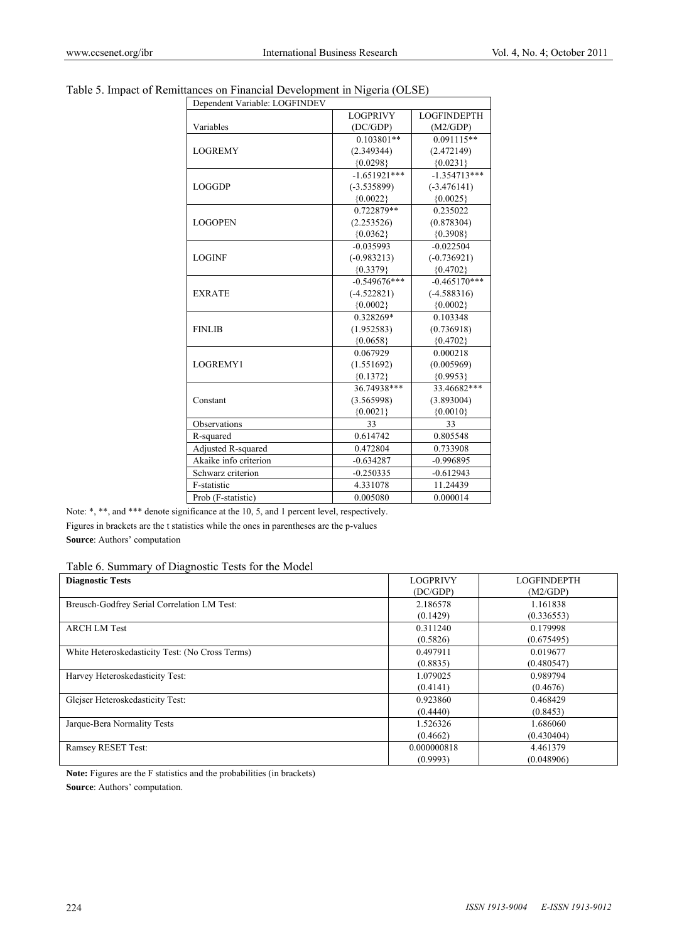# Table 5. Impact of Remittances on Financial Development in Nigeria (OLSE)

| Dependent Variable: LOGFINDEV |                 |                    |
|-------------------------------|-----------------|--------------------|
|                               | <b>LOGPRIVY</b> | <b>LOGFINDEPTH</b> |
| Variables                     | (DC/GDP)        | (M2/GDP)           |
|                               | $0.103801**$    | $0.091115**$       |
| <b>LOGREMY</b>                | (2.349344)      | (2.472149)         |
|                               | ${0.0298}$      | ${0.0231}$         |
|                               | $-1.651921***$  | $-1.354713***$     |
| <b>LOGGDP</b>                 | $(-3.535899)$   | $(-3.476141)$      |
|                               | ${0.0022}$      | ${0.0025}$         |
|                               | 0.722879**      | 0.235022           |
| <b>LOGOPEN</b>                | (2.253526)      | (0.878304)         |
|                               | ${0.0362}$      | ${0.3908}$         |
|                               | $-0.035993$     | $-0.022504$        |
| <b>LOGINF</b>                 | $(-0.983213)$   | $(-0.736921)$      |
|                               | ${0.3379}$      | ${0.4702}$         |
|                               | $-0.549676***$  | $-0.465170***$     |
| <b>EXRATE</b>                 | $(-4.522821)$   | $(-4.588316)$      |
|                               | ${0.0002}$      | ${0.0002}$         |
|                               | 0.328269*       | 0.103348           |
| <b>FINLIB</b>                 | (1.952583)      | (0.736918)         |
|                               | ${0.0658}$      | ${0.4702}$         |
|                               | 0.067929        | 0.000218           |
| LOGREMY1                      | (1.551692)      | (0.005969)         |
|                               | ${0.1372}$      | ${0.9953}$         |
|                               | 36.74938***     | 33.46682***        |
| Constant                      | (3.565998)      | (3.893004)         |
|                               | ${0.0021}$      | ${0.0010}$         |
| Observations                  | 33              | 33                 |
| R-squared                     | 0.614742        | 0.805548           |
| Adjusted R-squared            | 0.472804        | 0.733908           |
| Akaike info criterion         | $-0.634287$     | $-0.996895$        |
| Schwarz criterion             | $-0.250335$     | $-0.612943$        |
| F-statistic                   | 4.331078        | 11.24439           |
| Prob (F-statistic)            | 0.005080        | 0.000014           |
|                               |                 |                    |

Note: \*, \*\*, and \*\*\* denote significance at the 10, 5, and 1 percent level, respectively. Figures in brackets are the t statistics while the ones in parentheses are the p-values **Source**: Authors' computation

Table 6. Summary of Diagnostic Tests for the Model

| <b>Diagnostic Tests</b>                         | <b>LOGPRIVY</b> | <b>LOGFINDEPTH</b> |
|-------------------------------------------------|-----------------|--------------------|
|                                                 | (DC/GDP)        | (M2/GDP)           |
| Breusch-Godfrey Serial Correlation LM Test:     | 2.186578        | 1.161838           |
|                                                 | (0.1429)        | (0.336553)         |
| <b>ARCH LM Test</b>                             | 0.311240        | 0.179998           |
|                                                 | (0.5826)        | (0.675495)         |
| White Heteroskedasticity Test: (No Cross Terms) | 0.497911        | 0.019677           |
|                                                 | (0.8835)        | (0.480547)         |
| Harvey Heteroskedasticity Test:                 | 1.079025        | 0.989794           |
|                                                 | (0.4141)        | (0.4676)           |
| Glejser Heteroskedasticity Test:                | 0.923860        | 0.468429           |
|                                                 | (0.4440)        | (0.8453)           |
| Jarque-Bera Normality Tests                     | 1.526326        | 1.686060           |
|                                                 | (0.4662)        | (0.430404)         |
| Ramsey RESET Test:                              | 0.000000818     | 4.461379           |
|                                                 | (0.9993)        | (0.048906)         |

**Note:** Figures are the F statistics and the probabilities (in brackets) **Source**: Authors' computation.